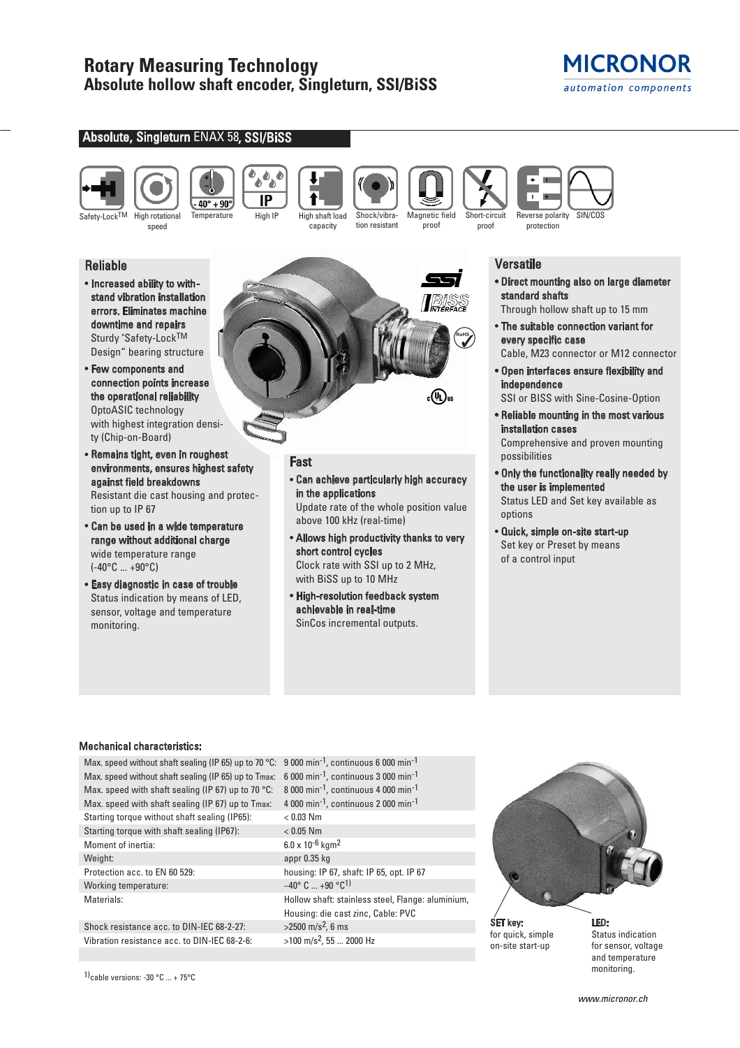# **MICRONOR** automation components

## Absolute, Singleturn ENAX 58, SSI/BiSS









capacity Shock/vibra-

tion resistant Magnetic field proof



Versatile

• Direct mounting also on large diameter standard shafts

Through hollow shaft up to 15 mm

- The suitable connection variant for every specific case Cable, M23 connector or M12 connector
- Open interfaces ensure flexibility and independence

SSI or BISS with Sine-Cosine-Option

- Reliable mounting in the most various installation cases Comprehensive and proven mounting possibilities
- Only the functionality really needed by the user is implemented Status LED and Set key available as options
- Quick, simple on-site start-up Set key or Preset by means of a control input

## Reliable

• Increased ability to withstand vibration installation errors. Eliminates machine downtime and repairs Sturdy "Safety-LockTM Design" bearing structure

speed

- Few components and connection points increase the operational reliability OptoASIC technology with highest integration density (Chip-on-Board)
- Remains tight, even in roughest environments, ensures highest safety against field breakdowns Resistant die cast housing and protection up to IP 67
- Can be used in a wide temperature range without additional charge wide temperature range  $(-40^{\circ}C ... +90^{\circ}C)$
- Easy diagnostic in case of trouble Status indication by means of LED, sensor, voltage and temperature monitoring.



# Fast

• Can achieve particularly high accuracy in the applications

Update rate of the whole position value above 100 kHz (real-time)

- Allows high productivity thanks to very short control cycles Clock rate with SSI up to 2 MHz, with BiSS up to 10 MHz
- High-resolution feedback system achievable in real-time SinCos incremental outputs.

# Mechanical characteristics:

Max. speed without shaft sealing (IP 65) up to 70 °C: 9 000 min<sup>-1</sup>, continuous 6 000 min<sup>-1</sup> Max. speed without shaft sealing (IP 65) up to Tmax: 6 000 min<sup>-1</sup>, continuous 3 000 min<sup>-1</sup> Max. speed with shaft sealing (IP 67) up to 70 °C: 8 000 min<sup>-1</sup>, continuous 4 000 min<sup>-1</sup> Max. speed with shaft sealing (IP 67) up to Tmax: 4 000 min<sup>-1</sup>, continuous 2 000 min<sup>-1</sup> Starting torque without shaft sealing (IP65): < 0.03 Nm Starting torque with shaft sealing (IP67): < 0.05 Nm Moment of inertia: 6.0 x 10<sup>-6</sup> kgm<sup>2</sup> Weight: appr 0.35 kg Protection acc. to EN 60 529: housing: IP 67, shaft: IP 65, opt. IP 67<br>Working temperature:  $-40^{\circ}$  C ...  $+90^{\circ}$ C<sup>1)</sup> Working temperature: Materials: Hollow shaft: stainless steel, Flange: aluminium,

Shock resistance acc. to DIN-IEC 68-2-27:  $>2500 \text{ m/s}^2$ . 6 ms Vibration resistance acc. to DIN-IEC 68-2-6:  $>100 \text{ m/s}^2$ , 55 ... 2000 Hz

Housing: die cast zinc, Cable: PVC



SET key: for quick, simple on-site start-up

LED: Status indication for sensor, voltage and temperature monitoring.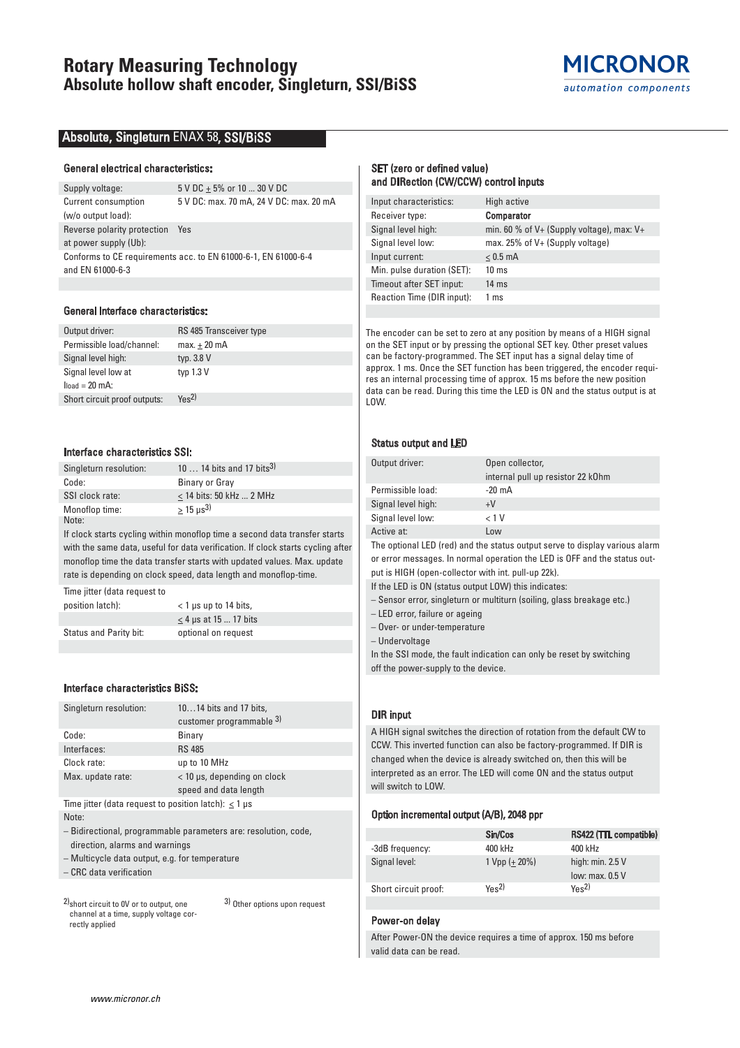# **Rotary Measuring Technology Absolute hollow shaft encoder, Singleturn, SSI/BiSS**



## Absolute, Singleturn ENAX 58, SSI/BiSS

### General electrical characteristics:

| Supply voltage:             | 5 V DC + 5% or 10  30 V DC                                     |
|-----------------------------|----------------------------------------------------------------|
| Current consumption         | 5 V DC: max. 70 mA, 24 V DC: max. 20 mA                        |
| (w/o output load):          |                                                                |
| Reverse polarity protection | Yes                                                            |
| at power supply (Ub):       |                                                                |
|                             | Conforms to CE requirements acc. to EN 61000-6-1, EN 61000-6-4 |
| and EN 61000-6-3            |                                                                |
|                             |                                                                |

### General Interface characteristics:

| RS 485 Transceiver type      |
|------------------------------|
| $max.+20$ mA                 |
| typ. $3.8 V$                 |
| typ $1.3 V$                  |
|                              |
| $Y_{\text{BS}}$ <sup>2</sup> |
|                              |

### Interface characteristics SSI:

| Singleturn resolution: | 10  14 bits and 17 bits <sup>3)</sup> |
|------------------------|---------------------------------------|
| Code:                  | Binary or Gray                        |
| SSI clock rate:        | $<$ 14 bits: 50 kHz  2 MHz            |
| Monoflop time:         | $> 15 \text{ us}^3$                   |
| Note:                  |                                       |

If clock starts cycling within monoflop time a second data transfer starts with the same data, useful for data verification. If clock starts cycling after monoflop time the data transfer starts with updated values. Max. update rate is depending on clock speed, data length and monoflop-time.

Time jitter (data request to position latch): < 1 µs up to 14 bits,  $\leq$  4 µs at 15 ... 17 bits Status and Parity bit: optional on request

#### Interface characteristics BiSS:

| Singleturn resolution:                                      | 1014 bits and 17 bits,                                          |
|-------------------------------------------------------------|-----------------------------------------------------------------|
|                                                             | customer programmable 3)                                        |
| Code:                                                       | Binary                                                          |
| Interfaces:                                                 | <b>RS 485</b>                                                   |
| Clock rate:                                                 | up to 10 MHz                                                    |
| Max. update rate:                                           | < 10 µs, depending on clock                                     |
|                                                             | speed and data length                                           |
| Time jitter (data request to position latch): $<$ 1 $\mu$ s |                                                                 |
| Note:                                                       |                                                                 |
| direction, alarms and warnings                              | - Bidirectional, programmable parameters are: resolution, code, |
| - Multicycle data output, e.g. for temperature              |                                                                 |

– CRC data verification

2)short circuit to 0V or to output, one channel at a time, supply voltage correctly applied 3) Other options upon request SET (zero or defined value) and DIRection (CW/CCW) control inputs

| Input characteristics:     | High active                                   |
|----------------------------|-----------------------------------------------|
| Receiver type:             | <b>Comparator</b>                             |
| Signal level high:         | min. 60 % of $V+$ (Supply voltage), max: $V+$ |
| Signal level low:          | max. 25% of V+ (Supply voltage)               |
| Input current:             | $< 0.5$ mA                                    |
| Min. pulse duration (SET): | $10 \text{ ms}$                               |
| Timeout after SET input:   | $14 \text{ ms}$                               |
| Reaction Time (DIR input): | 1 ms                                          |
|                            |                                               |

The encoder can be set to zero at any position by means of a HIGH signal on the SET input or by pressing the optional SET key. Other preset values can be factory-programmed. The SET input has a signal delay time of approx. 1 ms. Once the SET function has been triggered, the encoder requires an internal processing time of approx. 15 ms before the new position data can be read. During this time the LED is ON and the status output is at LOW.

### Status output and LED

| Output driver:     | Open collector,                   |
|--------------------|-----------------------------------|
|                    | internal pull up resistor 22 k0hm |
| Permissible load:  | $-20 \text{ mA}$                  |
| Signal level high: | $+V$                              |
| Signal level low:  | < 1 V                             |
| Active at:         | Low                               |

The optional LED (red) and the status output serve to display various alarm or error messages. In normal operation the LED is OFF and the status output is HIGH (open-collector with int. pull-up 22k).

If the LED is ON (status output LOW) this indicates:

– Sensor error, singleturn or multiturn (soiling, glass breakage etc.)

– LED error, failure or ageing

– Over- or under-temperature

– Undervoltage

In the SSI mode, the fault indication can only be reset by switching off the power-supply to the device.

## DIR input

A HIGH signal switches the direction of rotation from the default CW to CCW. This inverted function can also be factory-programmed. If DIR is changed when the device is already switched on, then this will be interpreted as an error. The LED will come ON and the status output will switch to LOW.

#### Option incremental output (A/B), 2048 ppr

|                      | Sin/Cos                      | RS422 (TTL compatible)                |
|----------------------|------------------------------|---------------------------------------|
| -3dB frequency:      | 400 kHz                      | 400 kHz                               |
| Signal level:        | $1 Vpp (+ 20%)$              | high: $min. 2.5 V$<br>low: max. 0.5 V |
| Short circuit proof: | $Y_{\text{BS}}$ <sup>2</sup> | $Y_{\text{BS}}$ <sup>2</sup>          |

## Power-on delay

After Power-ON the device requires a time of approx. 150 ms before valid data can be read.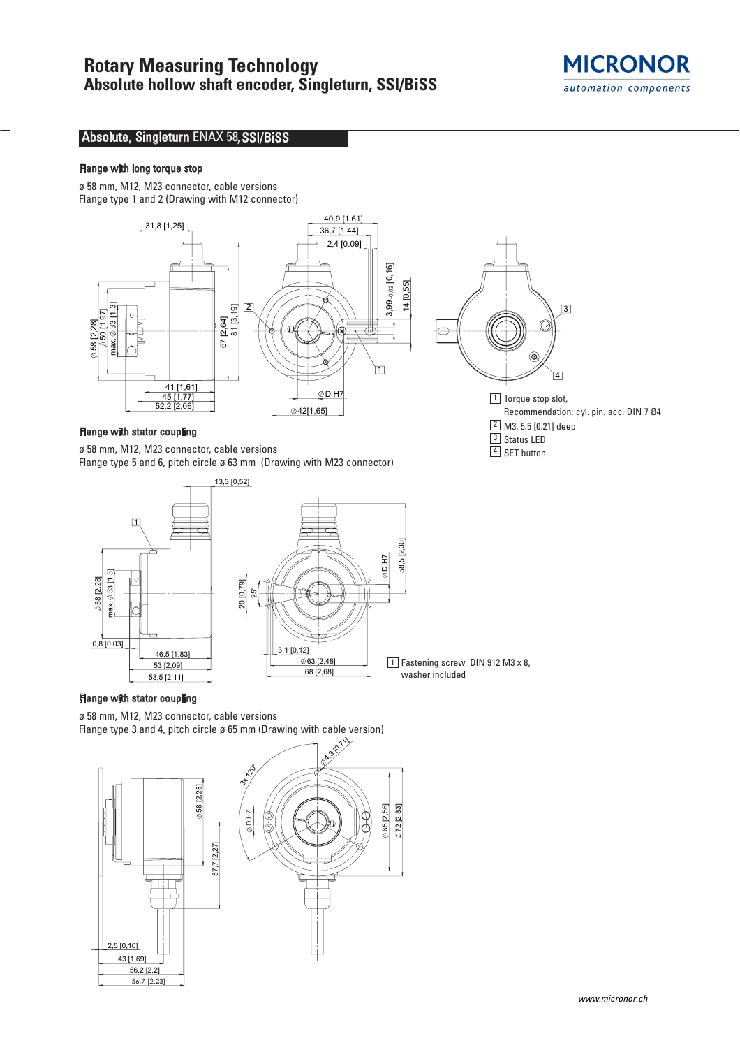

# Absolute, Singleturn ENAX 58, SSI/BiSS

## Flange with long torque stop

ø 58 mm, M12, M23 connector, cable versions Flange type 1 and 2 (Drawing with M12 connector)



## Flange with stator coupling

ø 58 mm, M12, M23 connector, cable versions Flange type 5 and 6, pitch circle ø 63 mm (Drawing with M23 connector)



# Flange with stator coupling

ø 58 mm, M12, M23 connector, cable versions Flange type 3 and 4, pitch circle ø 65 mm (Drawing with cable version)





 $1$  Fastening screw DIN 912 M3 x 8,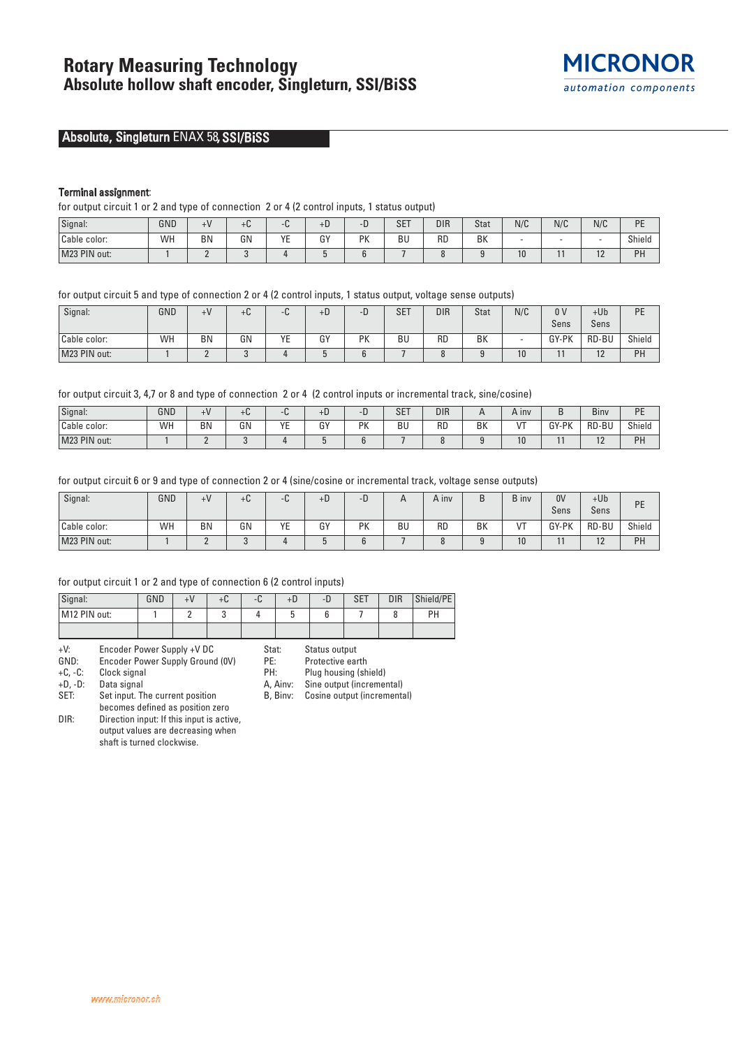# Absolute, Singleturn ENAX 58, SSI/BiSS

## Terminal assignment:

for output circuit 1 or 2 and type of connection 2 or 4 (2 control inputs, 1 status output)

| Signal:      | GND | $\pm V$   | $+6$ | ັ         | +υ.          | ۰D.        | CFT<br>5E I | <b>DIR</b> | Stat | N/C | N/C | N/C        | DE<br>- - |
|--------------|-----|-----------|------|-----------|--------------|------------|-------------|------------|------|-----|-----|------------|-----------|
| Cable color: | WH  | <b>BN</b> | GN   | VE<br>. . | $\sim$<br>u. | DV<br>7 IN | BU          | RD         | BK   |     |     |            | Shield    |
| M23 PIN out: |     |           |      |           |              |            |             |            |      | 1U. |     | . <u>.</u> | PH        |

for output circuit 5 and type of connection 2 or 4 (2 control inputs, 1 status output, voltage sense outputs)

| Signal:      | GND | $+V$      | $\sim$<br>+u | $\sqrt{2}$<br>⊤u. | $+D$ | -D        | <b>SET</b> | <b>DIR</b> | <b>Stat</b> | N/C | 0 <sup>V</sup><br>Sens | $+Ub$<br>Sens         | DE<br>۰. |
|--------------|-----|-----------|--------------|-------------------|------|-----------|------------|------------|-------------|-----|------------------------|-----------------------|----------|
| Cable color: | WH  | <b>BN</b> | GN           | YE                | GY   | <b>PK</b> | BU         | RD         | BK          |     | GY-PK                  | RD-BU                 | Shield   |
| M23 PIN out: |     |           |              |                   |      |           |            |            |             | 10  |                        | 1 <sub>0</sub><br>1 L | PH       |

for output circuit 3, 4,7 or 8 and type of connection 2 or 4 (2 control inputs or incremental track, sine/cosine)

| Signal:      | GND | +V | TU.          |                          | $+b$         |                 | <b>SET</b>      | <b>DIR</b> | <sub>n</sub> | A inv      | -<br>в                | Biny          | <b>DE</b><br>- |
|--------------|-----|----|--------------|--------------------------|--------------|-----------------|-----------------|------------|--------------|------------|-----------------------|---------------|----------------|
| Cable color: | WH  | ΒN | GN<br>$\sim$ | $V$ $\Gamma$<br>′ ⊢<br>- | $\sim$<br>u. | <b>DV</b><br>'N | D I<br>вu<br>__ | RD         | ВK           | $\sqrt{7}$ | <b>GV-PK</b>          | RD-BU         | Shield         |
| M23 PIN out: |     |    |              |                          |              |                 |                 |            |              | 10         | $\overline{a}$<br>. . | $\sim$<br>. . | PH             |

for output circuit 6 or 9 and type of connection 2 or 4 (sine/cosine or incremental track, voltage sense outputs)

| Signal:      | GND | $+V$ | $+U$ | ™ພ      | +D           | - 1 |    | A inv     | L  | <b>B</b> inv | 0 <sup>V</sup><br>Sens | $+Ub$<br>Sens | PE     |
|--------------|-----|------|------|---------|--------------|-----|----|-----------|----|--------------|------------------------|---------------|--------|
| Cable color: | WH  | BN   | GN   | VE<br>ᄕ | $\sim$<br>ចា | PK  | BU | <b>RD</b> | BK | $\sqrt{T}$   | GY-PK                  | RD-BU         | Shield |
| M23 PIN out: |     | -    |      |         |              |     |    |           |    | 10           |                        | $\sim$<br>1 Z | PH     |

### for output circuit 1 or 2 and type of connection 6 (2 control inputs)

| Signal:      | GND | +С | −u. | +υ | -D | <b>SET</b> | <b>DIR</b> | Shield/PE |
|--------------|-----|----|-----|----|----|------------|------------|-----------|
| M12 PIN out: |     |    |     |    |    |            |            | PН        |
|              |     |    |     |    |    |            |            |           |

+V: Encoder Power Supply +V DC

Encoder Power Supply Ground (0V)

+C, -C: Clock signal

+D, -D: Data signal

Set input. The current position becomes defined as position zero

DIR: Direction input: If this input is active,

output values are decreasing when shaft is turned clockwise.

- Stat: Status output<br>PE: Protective ear
- Protective earth

PH: Plug housing (shield)

A, Ainv: Sine output (incremental)

B, Binv: Cosine output (incremental)